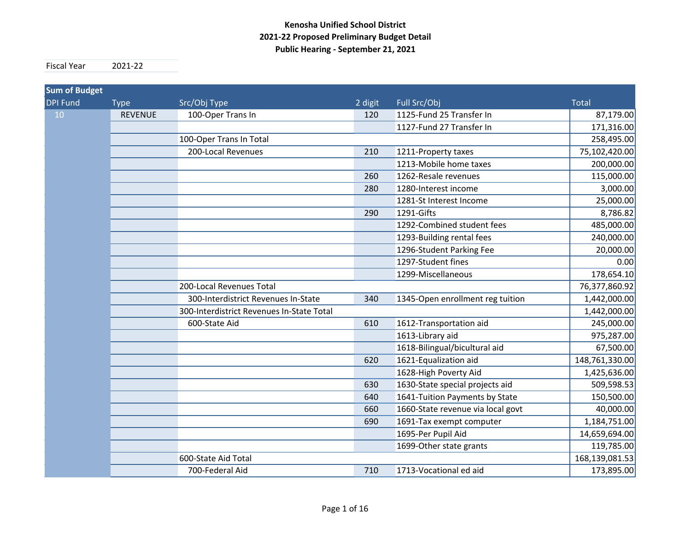#### **Kenosha Unified School District 2021‐22 Proposed Preliminary Budget Detail Public Hearing ‐ September 21, 2021**

Fiscal Year 2021-22

| <b>Sum of Budget</b> |                |                                           |         |                                   |                |
|----------------------|----------------|-------------------------------------------|---------|-----------------------------------|----------------|
| <b>DPI Fund</b>      | <b>Type</b>    | Src/Obj Type                              | 2 digit | Full Src/Obj                      | <b>Total</b>   |
| 10                   | <b>REVENUE</b> | 100-Oper Trans In                         | 120     | 1125-Fund 25 Transfer In          | 87,179.00      |
|                      |                |                                           |         | 1127-Fund 27 Transfer In          | 171,316.00     |
|                      |                | 100-Oper Trans In Total                   |         |                                   | 258,495.00     |
|                      |                | 200-Local Revenues                        | 210     | 1211-Property taxes               | 75,102,420.00  |
|                      |                |                                           |         | 1213-Mobile home taxes            | 200,000.00     |
|                      |                |                                           | 260     | 1262-Resale revenues              | 115,000.00     |
|                      |                |                                           | 280     | 1280-Interest income              | 3,000.00       |
|                      |                |                                           |         | 1281-St Interest Income           | 25,000.00      |
|                      |                |                                           | 290     | 1291-Gifts                        | 8,786.82       |
|                      |                |                                           |         | 1292-Combined student fees        | 485,000.00     |
|                      |                |                                           |         | 1293-Building rental fees         | 240,000.00     |
|                      |                |                                           |         | 1296-Student Parking Fee          | 20,000.00      |
|                      |                |                                           |         | 1297-Student fines                | 0.00           |
|                      |                |                                           |         | 1299-Miscellaneous                | 178,654.10     |
|                      |                | 200-Local Revenues Total                  |         |                                   | 76,377,860.92  |
|                      |                | 300-Interdistrict Revenues In-State       | 340     | 1345-Open enrollment reg tuition  | 1,442,000.00   |
|                      |                | 300-Interdistrict Revenues In-State Total |         |                                   | 1,442,000.00   |
|                      |                | 600-State Aid                             | 610     | 1612-Transportation aid           | 245,000.00     |
|                      |                |                                           |         | 1613-Library aid                  | 975,287.00     |
|                      |                |                                           |         | 1618-Bilingual/bicultural aid     | 67,500.00      |
|                      |                |                                           | 620     | 1621-Equalization aid             | 148,761,330.00 |
|                      |                |                                           |         | 1628-High Poverty Aid             | 1,425,636.00   |
|                      |                |                                           | 630     | 1630-State special projects aid   | 509,598.53     |
|                      |                |                                           | 640     | 1641-Tuition Payments by State    | 150,500.00     |
|                      |                |                                           | 660     | 1660-State revenue via local govt | 40,000.00      |
|                      |                |                                           | 690     | 1691-Tax exempt computer          | 1,184,751.00   |
|                      |                |                                           |         | 1695-Per Pupil Aid                | 14,659,694.00  |
|                      |                |                                           |         | 1699-Other state grants           | 119,785.00     |
|                      |                | 600-State Aid Total                       |         |                                   | 168,139,081.53 |
|                      |                | 700-Federal Aid                           | 710     | 1713-Vocational ed aid            | 173,895.00     |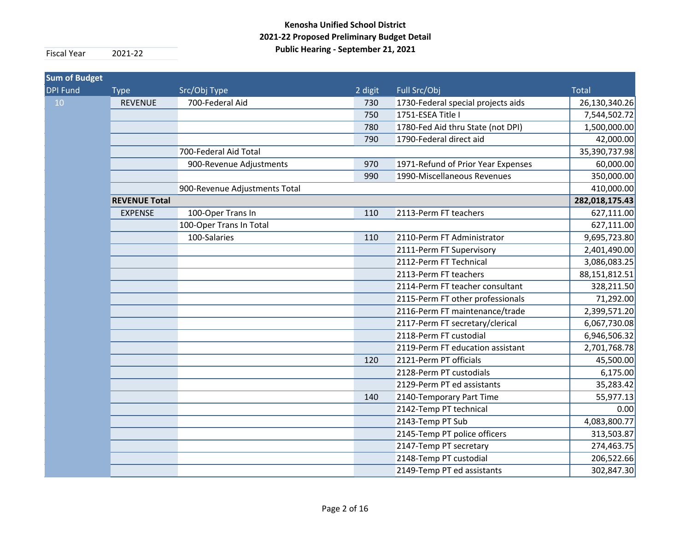| <b>Sum of Budget</b> |                      |                               |         |                                    |                |
|----------------------|----------------------|-------------------------------|---------|------------------------------------|----------------|
| <b>DPI Fund</b>      | <b>Type</b>          | Src/Obj Type                  | 2 digit | Full Src/Obj                       | <b>Total</b>   |
| 10                   | <b>REVENUE</b>       | 700-Federal Aid               | 730     | 1730-Federal special projects aids | 26,130,340.26  |
|                      |                      |                               | 750     | 1751-ESEA Title I                  | 7,544,502.72   |
|                      |                      |                               | 780     | 1780-Fed Aid thru State (not DPI)  | 1,500,000.00   |
|                      |                      |                               | 790     | 1790-Federal direct aid            | 42,000.00      |
|                      |                      | 700-Federal Aid Total         |         |                                    | 35,390,737.98  |
|                      |                      | 900-Revenue Adjustments       | 970     | 1971-Refund of Prior Year Expenses | 60,000.00      |
|                      |                      |                               | 990     | 1990-Miscellaneous Revenues        | 350,000.00     |
|                      |                      | 900-Revenue Adjustments Total |         |                                    | 410,000.00     |
|                      | <b>REVENUE Total</b> |                               |         |                                    | 282,018,175.43 |
|                      | <b>EXPENSE</b>       | 100-Oper Trans In             | 110     | 2113-Perm FT teachers              | 627,111.00     |
|                      |                      | 100-Oper Trans In Total       |         |                                    | 627,111.00     |
|                      |                      | 100-Salaries                  | 110     | 2110-Perm FT Administrator         | 9,695,723.80   |
|                      |                      |                               |         | 2111-Perm FT Supervisory           | 2,401,490.00   |
|                      |                      |                               |         | 2112-Perm FT Technical             | 3,086,083.25   |
|                      |                      |                               |         | 2113-Perm FT teachers              | 88,151,812.51  |
|                      |                      |                               |         | 2114-Perm FT teacher consultant    | 328,211.50     |
|                      |                      |                               |         | 2115-Perm FT other professionals   | 71,292.00      |
|                      |                      |                               |         | 2116-Perm FT maintenance/trade     | 2,399,571.20   |
|                      |                      |                               |         | 2117-Perm FT secretary/clerical    | 6,067,730.08   |
|                      |                      |                               |         | 2118-Perm FT custodial             | 6,946,506.32   |
|                      |                      |                               |         | 2119-Perm FT education assistant   | 2,701,768.78   |
|                      |                      |                               | 120     | 2121-Perm PT officials             | 45,500.00      |
|                      |                      |                               |         | 2128-Perm PT custodials            | 6,175.00       |
|                      |                      |                               |         | 2129-Perm PT ed assistants         | 35,283.42      |
|                      |                      |                               | 140     | 2140-Temporary Part Time           | 55,977.13      |
|                      |                      |                               |         | 2142-Temp PT technical             | 0.00           |
|                      |                      |                               |         | 2143-Temp PT Sub                   | 4,083,800.77   |
|                      |                      |                               |         | 2145-Temp PT police officers       | 313,503.87     |
|                      |                      |                               |         | 2147-Temp PT secretary             | 274,463.75     |
|                      |                      |                               |         | 2148-Temp PT custodial             | 206,522.66     |
|                      |                      |                               |         | 2149-Temp PT ed assistants         | 302,847.30     |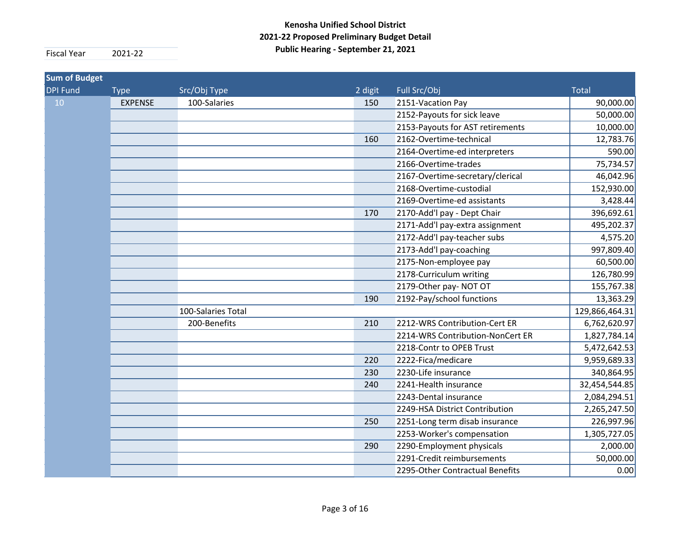| <b>Sum of Budget</b> |                |                    |         |                                  |                |
|----------------------|----------------|--------------------|---------|----------------------------------|----------------|
| <b>DPI Fund</b>      | <b>Type</b>    | Src/Obj Type       | 2 digit | Full Src/Obj                     | <b>Total</b>   |
| 10                   | <b>EXPENSE</b> | 100-Salaries       | 150     | 2151-Vacation Pay                | 90,000.00      |
|                      |                |                    |         | 2152-Payouts for sick leave      | 50,000.00      |
|                      |                |                    |         | 2153-Payouts for AST retirements | 10,000.00      |
|                      |                |                    | 160     | 2162-Overtime-technical          | 12,783.76      |
|                      |                |                    |         | 2164-Overtime-ed interpreters    | 590.00         |
|                      |                |                    |         | 2166-Overtime-trades             | 75,734.57      |
|                      |                |                    |         | 2167-Overtime-secretary/clerical | 46,042.96      |
|                      |                |                    |         | 2168-Overtime-custodial          | 152,930.00     |
|                      |                |                    |         | 2169-Overtime-ed assistants      | 3,428.44       |
|                      |                |                    | 170     | 2170-Add'l pay - Dept Chair      | 396,692.61     |
|                      |                |                    |         | 2171-Add'l pay-extra assignment  | 495,202.37     |
|                      |                |                    |         | 2172-Add'l pay-teacher subs      | 4,575.20       |
|                      |                |                    |         | 2173-Add'l pay-coaching          | 997,809.40     |
|                      |                |                    |         | 2175-Non-employee pay            | 60,500.00      |
|                      |                |                    |         | 2178-Curriculum writing          | 126,780.99     |
|                      |                |                    |         | 2179-Other pay- NOT OT           | 155,767.38     |
|                      |                |                    | 190     | 2192-Pay/school functions        | 13,363.29      |
|                      |                | 100-Salaries Total |         |                                  | 129,866,464.31 |
|                      |                | 200-Benefits       | 210     | 2212-WRS Contribution-Cert ER    | 6,762,620.97   |
|                      |                |                    |         | 2214-WRS Contribution-NonCert ER | 1,827,784.14   |
|                      |                |                    |         | 2218-Contr to OPEB Trust         | 5,472,642.53   |
|                      |                |                    | 220     | 2222-Fica/medicare               | 9,959,689.33   |
|                      |                |                    | 230     | 2230-Life insurance              | 340,864.95     |
|                      |                |                    | 240     | 2241-Health insurance            | 32,454,544.85  |
|                      |                |                    |         | 2243-Dental insurance            | 2,084,294.51   |
|                      |                |                    |         | 2249-HSA District Contribution   | 2,265,247.50   |
|                      |                |                    | 250     | 2251-Long term disab insurance   | 226,997.96     |
|                      |                |                    |         | 2253-Worker's compensation       | 1,305,727.05   |
|                      |                |                    | 290     | 2290-Employment physicals        | 2,000.00       |
|                      |                |                    |         | 2291-Credit reimbursements       | 50,000.00      |
|                      |                |                    |         | 2295-Other Contractual Benefits  | 0.00           |
|                      |                |                    |         |                                  |                |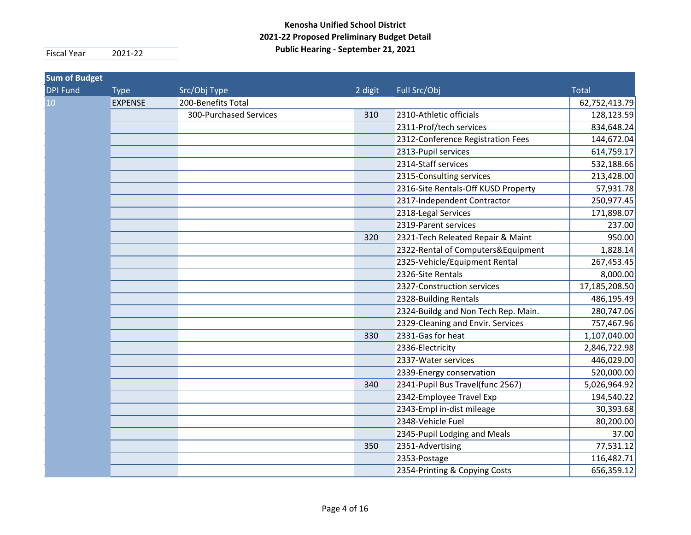| <b>Sum of Budget</b> |                |                        |         |                                     |               |
|----------------------|----------------|------------------------|---------|-------------------------------------|---------------|
| <b>DPI Fund</b>      | <b>Type</b>    | Src/Obj Type           | 2 digit | Full Src/Obj                        | <b>Total</b>  |
| 10                   | <b>EXPENSE</b> | 200-Benefits Total     |         |                                     | 62,752,413.79 |
|                      |                | 300-Purchased Services | 310     | 2310-Athletic officials             | 128,123.59    |
|                      |                |                        |         | 2311-Prof/tech services             | 834,648.24    |
|                      |                |                        |         | 2312-Conference Registration Fees   | 144,672.04    |
|                      |                |                        |         | 2313-Pupil services                 | 614,759.17    |
|                      |                |                        |         | 2314-Staff services                 | 532,188.66    |
|                      |                |                        |         | 2315-Consulting services            | 213,428.00    |
|                      |                |                        |         | 2316-Site Rentals-Off KUSD Property | 57,931.78     |
|                      |                |                        |         | 2317-Independent Contractor         | 250,977.45    |
|                      |                |                        |         | 2318-Legal Services                 | 171,898.07    |
|                      |                |                        |         | 2319-Parent services                | 237.00        |
|                      |                |                        | 320     | 2321-Tech Releated Repair & Maint   | 950.00        |
|                      |                |                        |         | 2322-Rental of Computers&Equipment  | 1,828.14      |
|                      |                |                        |         | 2325-Vehicle/Equipment Rental       | 267,453.45    |
|                      |                |                        |         | 2326-Site Rentals                   | 8,000.00      |
|                      |                |                        |         | 2327-Construction services          | 17,185,208.50 |
|                      |                |                        |         | 2328-Building Rentals               | 486,195.49    |
|                      |                |                        |         | 2324-Buildg and Non Tech Rep. Main. | 280,747.06    |
|                      |                |                        |         | 2329-Cleaning and Envir. Services   | 757,467.96    |
|                      |                |                        | 330     | 2331-Gas for heat                   | 1,107,040.00  |
|                      |                |                        |         | 2336-Electricity                    | 2,846,722.98  |
|                      |                |                        |         | 2337-Water services                 | 446,029.00    |
|                      |                |                        |         | 2339-Energy conservation            | 520,000.00    |
|                      |                |                        | 340     | 2341-Pupil Bus Travel(func 2567)    | 5,026,964.92  |
|                      |                |                        |         | 2342-Employee Travel Exp            | 194,540.22    |
|                      |                |                        |         | 2343-Empl in-dist mileage           | 30,393.68     |
|                      |                |                        |         | 2348-Vehicle Fuel                   | 80,200.00     |
|                      |                |                        |         | 2345-Pupil Lodging and Meals        | 37.00         |
|                      |                |                        | 350     | 2351-Advertising                    | 77,531.12     |
|                      |                |                        |         | 2353-Postage                        | 116,482.71    |
|                      |                |                        |         | 2354-Printing & Copying Costs       | 656,359.12    |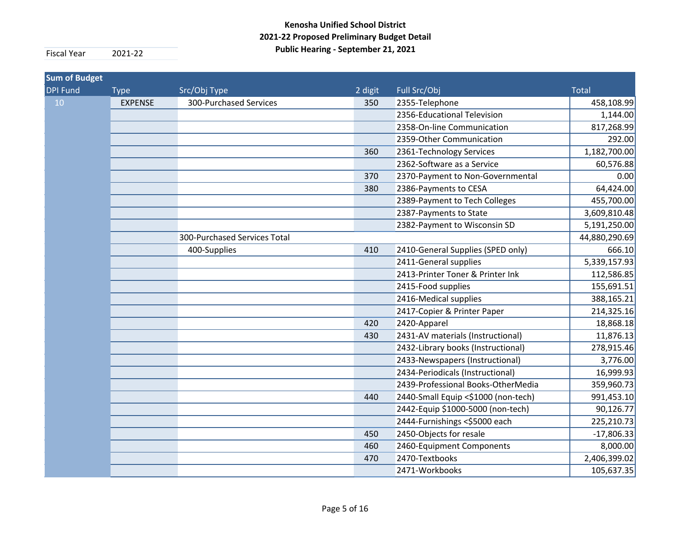| <b>Sum of Budget</b> |                |                              |         |                                     |               |
|----------------------|----------------|------------------------------|---------|-------------------------------------|---------------|
| <b>DPI Fund</b>      | <b>Type</b>    | Src/Obj Type                 | 2 digit | Full Src/Obj                        | <b>Total</b>  |
| 10                   | <b>EXPENSE</b> | 300-Purchased Services       | 350     | 2355-Telephone                      | 458,108.99    |
|                      |                |                              |         | 2356-Educational Television         | 1,144.00      |
|                      |                |                              |         | 2358-On-line Communication          | 817,268.99    |
|                      |                |                              |         | 2359-Other Communication            | 292.00        |
|                      |                |                              | 360     | 2361-Technology Services            | 1,182,700.00  |
|                      |                |                              |         | 2362-Software as a Service          | 60,576.88     |
|                      |                |                              | 370     | 2370-Payment to Non-Governmental    | 0.00          |
|                      |                |                              | 380     | 2386-Payments to CESA               | 64,424.00     |
|                      |                |                              |         | 2389-Payment to Tech Colleges       | 455,700.00    |
|                      |                |                              |         | 2387-Payments to State              | 3,609,810.48  |
|                      |                |                              |         | 2382-Payment to Wisconsin SD        | 5,191,250.00  |
|                      |                | 300-Purchased Services Total |         |                                     | 44,880,290.69 |
|                      |                | 400-Supplies                 | 410     | 2410-General Supplies (SPED only)   | 666.10        |
|                      |                |                              |         | 2411-General supplies               | 5,339,157.93  |
|                      |                |                              |         | 2413-Printer Toner & Printer Ink    | 112,586.85    |
|                      |                |                              |         | 2415-Food supplies                  | 155,691.51    |
|                      |                |                              |         | 2416-Medical supplies               | 388,165.21    |
|                      |                |                              |         | 2417-Copier & Printer Paper         | 214,325.16    |
|                      |                |                              | 420     | 2420-Apparel                        | 18,868.18     |
|                      |                |                              | 430     | 2431-AV materials (Instructional)   | 11,876.13     |
|                      |                |                              |         | 2432-Library books (Instructional)  | 278,915.46    |
|                      |                |                              |         | 2433-Newspapers (Instructional)     | 3,776.00      |
|                      |                |                              |         | 2434-Periodicals (Instructional)    | 16,999.93     |
|                      |                |                              |         | 2439-Professional Books-OtherMedia  | 359,960.73    |
|                      |                |                              | 440     | 2440-Small Equip <\$1000 (non-tech) | 991,453.10    |
|                      |                |                              |         | 2442-Equip \$1000-5000 (non-tech)   | 90,126.77     |
|                      |                |                              |         | 2444-Furnishings <\$5000 each       | 225,210.73    |
|                      |                |                              | 450     | 2450-Objects for resale             | $-17,806.33$  |
|                      |                |                              | 460     | 2460-Equipment Components           | 8,000.00      |
|                      |                |                              | 470     | 2470-Textbooks                      | 2,406,399.02  |
|                      |                |                              |         | 2471-Workbooks                      | 105,637.35    |
|                      |                |                              |         |                                     |               |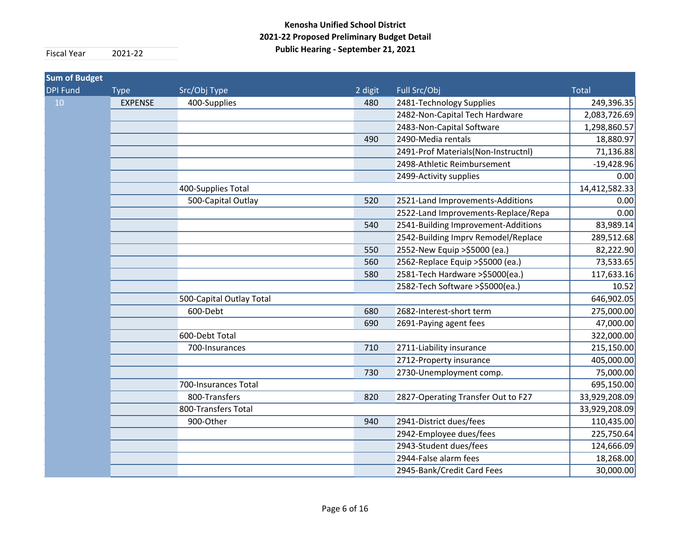| <b>Sum of Budget</b> |                |                          |         |                                     |               |
|----------------------|----------------|--------------------------|---------|-------------------------------------|---------------|
| <b>DPI Fund</b>      | <b>Type</b>    | Src/Obj Type             | 2 digit | Full Src/Obj                        | <b>Total</b>  |
| 10                   | <b>EXPENSE</b> | 400-Supplies             | 480     | 2481-Technology Supplies            | 249,396.35    |
|                      |                |                          |         | 2482-Non-Capital Tech Hardware      | 2,083,726.69  |
|                      |                |                          |         | 2483-Non-Capital Software           | 1,298,860.57  |
|                      |                |                          | 490     | 2490-Media rentals                  | 18,880.97     |
|                      |                |                          |         | 2491-Prof Materials(Non-Instructnl) | 71,136.88     |
|                      |                |                          |         | 2498-Athletic Reimbursement         | $-19,428.96$  |
|                      |                |                          |         | 2499-Activity supplies              | 0.00          |
|                      |                | 400-Supplies Total       |         |                                     | 14,412,582.33 |
|                      |                | 500-Capital Outlay       | 520     | 2521-Land Improvements-Additions    | 0.00          |
|                      |                |                          |         | 2522-Land Improvements-Replace/Repa | 0.00          |
|                      |                |                          | 540     | 2541-Building Improvement-Additions | 83,989.14     |
|                      |                |                          |         | 2542-Building Imprv Remodel/Replace | 289,512.68    |
|                      |                |                          | 550     | 2552-New Equip > \$5000 (ea.)       | 82,222.90     |
|                      |                |                          | 560     | 2562-Replace Equip > \$5000 (ea.)   | 73,533.65     |
|                      |                |                          | 580     | 2581-Tech Hardware > \$5000 (ea.)   | 117,633.16    |
|                      |                |                          |         | 2582-Tech Software >\$5000(ea.)     | 10.52         |
|                      |                | 500-Capital Outlay Total |         |                                     | 646,902.05    |
|                      |                | 600-Debt                 | 680     | 2682-Interest-short term            | 275,000.00    |
|                      |                |                          | 690     | 2691-Paying agent fees              | 47,000.00     |
|                      |                | 600-Debt Total           |         |                                     | 322,000.00    |
|                      |                | 700-Insurances           | 710     | 2711-Liability insurance            | 215,150.00    |
|                      |                |                          |         | 2712-Property insurance             | 405,000.00    |
|                      |                |                          | 730     | 2730-Unemployment comp.             | 75,000.00     |
|                      |                | 700-Insurances Total     |         |                                     | 695,150.00    |
|                      |                | 800-Transfers            | 820     | 2827-Operating Transfer Out to F27  | 33,929,208.09 |
|                      |                | 800-Transfers Total      |         |                                     | 33,929,208.09 |
|                      |                | 900-Other                | 940     | 2941-District dues/fees             | 110,435.00    |
|                      |                |                          |         | 2942-Employee dues/fees             | 225,750.64    |
|                      |                |                          |         | 2943-Student dues/fees              | 124,666.09    |
|                      |                |                          |         | 2944-False alarm fees               | 18,268.00     |
|                      |                |                          |         | 2945-Bank/Credit Card Fees          | 30,000.00     |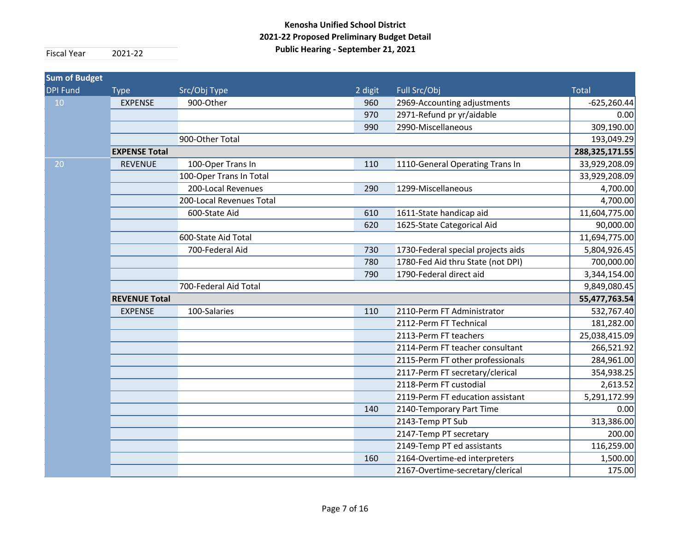| <b>Sum of Budget</b> |                      |                          |         |                                    |                |
|----------------------|----------------------|--------------------------|---------|------------------------------------|----------------|
| <b>DPI Fund</b>      | <b>Type</b>          | Src/Obj Type             | 2 digit | Full Src/Obj                       | <b>Total</b>   |
| 10                   | <b>EXPENSE</b>       | 900-Other                | 960     | 2969-Accounting adjustments        | $-625,260.44$  |
|                      |                      |                          | 970     | 2971-Refund pr yr/aidable          | 0.00           |
|                      |                      |                          | 990     | 2990-Miscellaneous                 | 309,190.00     |
|                      |                      | 900-Other Total          |         |                                    | 193,049.29     |
|                      | <b>EXPENSE Total</b> |                          |         |                                    | 288,325,171.55 |
| 20                   | <b>REVENUE</b>       | 100-Oper Trans In        | 110     | 1110-General Operating Trans In    | 33,929,208.09  |
|                      |                      | 100-Oper Trans In Total  |         |                                    | 33,929,208.09  |
|                      |                      | 200-Local Revenues       | 290     | 1299-Miscellaneous                 | 4,700.00       |
|                      |                      | 200-Local Revenues Total |         |                                    | 4,700.00       |
|                      |                      | 600-State Aid            | 610     | 1611-State handicap aid            | 11,604,775.00  |
|                      |                      |                          | 620     | 1625-State Categorical Aid         | 90,000.00      |
|                      |                      | 600-State Aid Total      |         |                                    | 11,694,775.00  |
|                      |                      | 700-Federal Aid          | 730     | 1730-Federal special projects aids | 5,804,926.45   |
|                      |                      |                          | 780     | 1780-Fed Aid thru State (not DPI)  | 700,000.00     |
|                      |                      |                          | 790     | 1790-Federal direct aid            | 3,344,154.00   |
|                      |                      | 700-Federal Aid Total    |         |                                    | 9,849,080.45   |
|                      | <b>REVENUE Total</b> |                          |         |                                    | 55,477,763.54  |
|                      | <b>EXPENSE</b>       | 100-Salaries             | 110     | 2110-Perm FT Administrator         | 532,767.40     |
|                      |                      |                          |         | 2112-Perm FT Technical             | 181,282.00     |
|                      |                      |                          |         | 2113-Perm FT teachers              | 25,038,415.09  |
|                      |                      |                          |         | 2114-Perm FT teacher consultant    | 266,521.92     |
|                      |                      |                          |         | 2115-Perm FT other professionals   | 284,961.00     |
|                      |                      |                          |         | 2117-Perm FT secretary/clerical    | 354,938.25     |
|                      |                      |                          |         | 2118-Perm FT custodial             | 2,613.52       |
|                      |                      |                          |         | 2119-Perm FT education assistant   | 5,291,172.99   |
|                      |                      |                          | 140     | 2140-Temporary Part Time           | 0.00           |
|                      |                      |                          |         | 2143-Temp PT Sub                   | 313,386.00     |
|                      |                      |                          |         | 2147-Temp PT secretary             | 200.00         |
|                      |                      |                          |         | 2149-Temp PT ed assistants         | 116,259.00     |
|                      |                      |                          | 160     | 2164-Overtime-ed interpreters      | 1,500.00       |
|                      |                      |                          |         | 2167-Overtime-secretary/clerical   | 175.00         |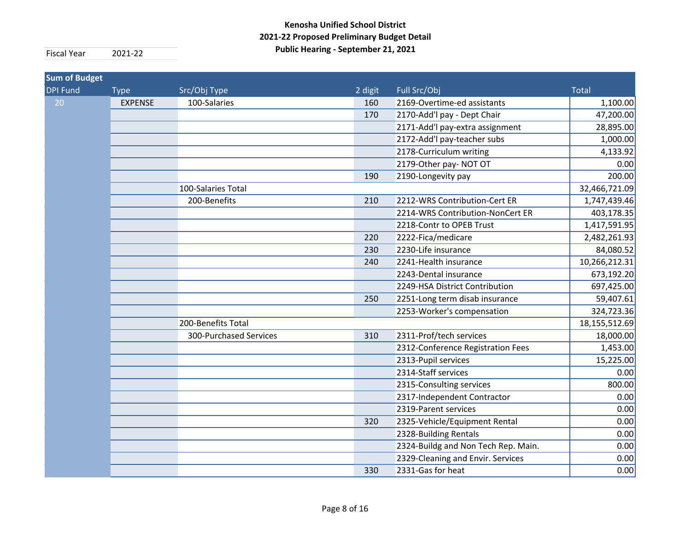| <b>Sum of Budget</b> |                |                        |         |                                     |               |
|----------------------|----------------|------------------------|---------|-------------------------------------|---------------|
| <b>DPI Fund</b>      | <b>Type</b>    | Src/Obj Type           | 2 digit | Full Src/Obj                        | <b>Total</b>  |
| 20                   | <b>EXPENSE</b> | 100-Salaries           | 160     | 2169-Overtime-ed assistants         | 1,100.00      |
|                      |                |                        | 170     | 2170-Add'l pay - Dept Chair         | 47,200.00     |
|                      |                |                        |         | 2171-Add'l pay-extra assignment     | 28,895.00     |
|                      |                |                        |         | 2172-Add'l pay-teacher subs         | 1,000.00      |
|                      |                |                        |         | 2178-Curriculum writing             | 4,133.92      |
|                      |                |                        |         | 2179-Other pay-NOT OT               | 0.00          |
|                      |                |                        | 190     | 2190-Longevity pay                  | 200.00        |
|                      |                | 100-Salaries Total     |         |                                     | 32,466,721.09 |
|                      |                | 200-Benefits           | 210     | 2212-WRS Contribution-Cert ER       | 1,747,439.46  |
|                      |                |                        |         | 2214-WRS Contribution-NonCert ER    | 403,178.35    |
|                      |                |                        |         | 2218-Contr to OPEB Trust            | 1,417,591.95  |
|                      |                |                        | 220     | 2222-Fica/medicare                  | 2,482,261.93  |
|                      |                |                        | 230     | 2230-Life insurance                 | 84,080.52     |
|                      |                |                        | 240     | 2241-Health insurance               | 10,266,212.31 |
|                      |                |                        |         | 2243-Dental insurance               | 673,192.20    |
|                      |                |                        |         | 2249-HSA District Contribution      | 697,425.00    |
|                      |                |                        | 250     | 2251-Long term disab insurance      | 59,407.61     |
|                      |                |                        |         | 2253-Worker's compensation          | 324,723.36    |
|                      |                | 200-Benefits Total     |         |                                     | 18,155,512.69 |
|                      |                | 300-Purchased Services | 310     | 2311-Prof/tech services             | 18,000.00     |
|                      |                |                        |         | 2312-Conference Registration Fees   | 1,453.00      |
|                      |                |                        |         | 2313-Pupil services                 | 15,225.00     |
|                      |                |                        |         | 2314-Staff services                 | 0.00          |
|                      |                |                        |         | 2315-Consulting services            | 800.00        |
|                      |                |                        |         | 2317-Independent Contractor         | 0.00          |
|                      |                |                        |         | 2319-Parent services                | 0.00          |
|                      |                |                        | 320     | 2325-Vehicle/Equipment Rental       | 0.00          |
|                      |                |                        |         | 2328-Building Rentals               | 0.00          |
|                      |                |                        |         | 2324-Buildg and Non Tech Rep. Main. | 0.00          |
|                      |                |                        |         | 2329-Cleaning and Envir. Services   | 0.00          |
|                      |                |                        | 330     | 2331-Gas for heat                   | 0.00          |
|                      |                |                        |         |                                     |               |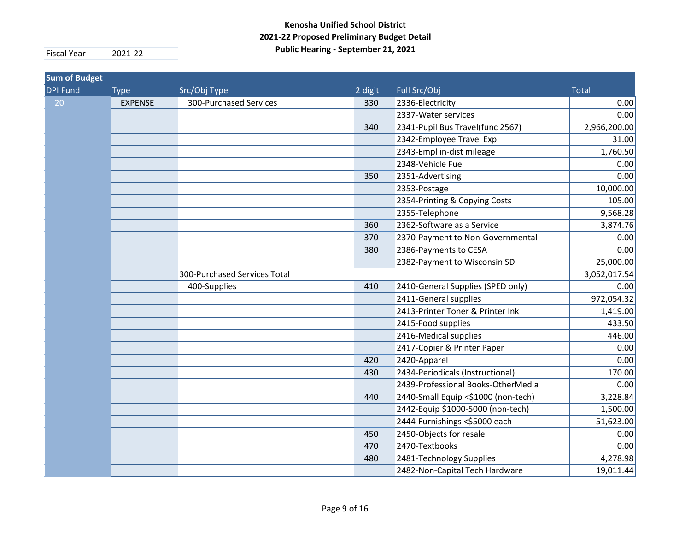| <b>Sum of Budget</b> |                |                              |         |                                     |              |
|----------------------|----------------|------------------------------|---------|-------------------------------------|--------------|
| <b>DPI Fund</b>      | <b>Type</b>    | Src/Obj Type                 | 2 digit | Full Src/Obj                        | <b>Total</b> |
| 20                   | <b>EXPENSE</b> | 300-Purchased Services       | 330     | 2336-Electricity                    | 0.00         |
|                      |                |                              |         | 2337-Water services                 | 0.00         |
|                      |                |                              | 340     | 2341-Pupil Bus Travel(func 2567)    | 2,966,200.00 |
|                      |                |                              |         | 2342-Employee Travel Exp            | 31.00        |
|                      |                |                              |         | 2343-Empl in-dist mileage           | 1,760.50     |
|                      |                |                              |         | 2348-Vehicle Fuel                   | 0.00         |
|                      |                |                              | 350     | 2351-Advertising                    | 0.00         |
|                      |                |                              |         | 2353-Postage                        | 10,000.00    |
|                      |                |                              |         | 2354-Printing & Copying Costs       | 105.00       |
|                      |                |                              |         | 2355-Telephone                      | 9,568.28     |
|                      |                |                              | 360     | 2362-Software as a Service          | 3,874.76     |
|                      |                |                              | 370     | 2370-Payment to Non-Governmental    | 0.00         |
|                      |                |                              | 380     | 2386-Payments to CESA               | 0.00         |
|                      |                |                              |         | 2382-Payment to Wisconsin SD        | 25,000.00    |
|                      |                | 300-Purchased Services Total |         |                                     | 3,052,017.54 |
|                      |                | 400-Supplies                 | 410     | 2410-General Supplies (SPED only)   | 0.00         |
|                      |                |                              |         | 2411-General supplies               | 972,054.32   |
|                      |                |                              |         | 2413-Printer Toner & Printer Ink    | 1,419.00     |
|                      |                |                              |         | 2415-Food supplies                  | 433.50       |
|                      |                |                              |         | 2416-Medical supplies               | 446.00       |
|                      |                |                              |         | 2417-Copier & Printer Paper         | 0.00         |
|                      |                |                              | 420     | 2420-Apparel                        | 0.00         |
|                      |                |                              | 430     | 2434-Periodicals (Instructional)    | 170.00       |
|                      |                |                              |         | 2439-Professional Books-OtherMedia  | 0.00         |
|                      |                |                              | 440     | 2440-Small Equip <\$1000 (non-tech) | 3,228.84     |
|                      |                |                              |         | 2442-Equip \$1000-5000 (non-tech)   | 1,500.00     |
|                      |                |                              |         | 2444-Furnishings <\$5000 each       | 51,623.00    |
|                      |                |                              | 450     | 2450-Objects for resale             | 0.00         |
|                      |                |                              | 470     | 2470-Textbooks                      | 0.00         |
|                      |                |                              | 480     | 2481-Technology Supplies            | 4,278.98     |
|                      |                |                              |         | 2482-Non-Capital Tech Hardware      | 19,011.44    |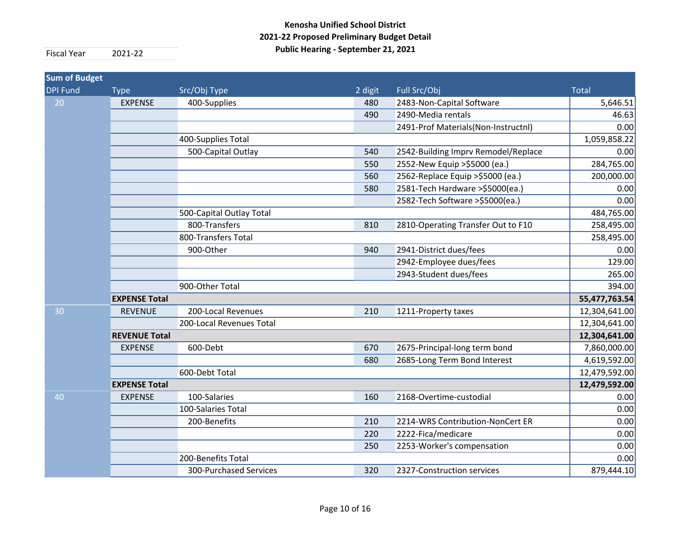| <b>Sum of Budget</b> |                      |                          |         |                                     |               |
|----------------------|----------------------|--------------------------|---------|-------------------------------------|---------------|
| <b>DPI Fund</b>      | <b>Type</b>          | Src/Obj Type             | 2 digit | Full Src/Obj                        | <b>Total</b>  |
| 20                   | <b>EXPENSE</b>       | 400-Supplies             | 480     | 2483-Non-Capital Software           | 5,646.51      |
|                      |                      |                          | 490     | 2490-Media rentals                  | 46.63         |
|                      |                      |                          |         | 2491-Prof Materials(Non-Instructnl) | 0.00          |
|                      |                      | 400-Supplies Total       |         |                                     | 1,059,858.22  |
|                      |                      | 500-Capital Outlay       | 540     | 2542-Building Imprv Remodel/Replace | 0.00          |
|                      |                      |                          | 550     | 2552-New Equip >\$5000 (ea.)        | 284,765.00    |
|                      |                      |                          | 560     | 2562-Replace Equip > \$5000 (ea.)   | 200,000.00    |
|                      |                      |                          | 580     | 2581-Tech Hardware > \$5000 (ea.)   | 0.00          |
|                      |                      |                          |         | 2582-Tech Software > \$5000 (ea.)   | 0.00          |
|                      |                      | 500-Capital Outlay Total |         |                                     | 484,765.00    |
|                      |                      | 800-Transfers            | 810     | 2810-Operating Transfer Out to F10  | 258,495.00    |
|                      |                      | 800-Transfers Total      |         |                                     | 258,495.00    |
|                      |                      | 900-Other                | 940     | 2941-District dues/fees             | 0.00          |
|                      |                      |                          |         | 2942-Employee dues/fees             | 129.00        |
|                      |                      |                          |         | 2943-Student dues/fees              | 265.00        |
|                      |                      | 900-Other Total          |         |                                     | 394.00        |
|                      | <b>EXPENSE Total</b> |                          |         |                                     | 55,477,763.54 |
| 30                   | <b>REVENUE</b>       | 200-Local Revenues       | 210     | 1211-Property taxes                 | 12,304,641.00 |
|                      |                      | 200-Local Revenues Total |         |                                     | 12,304,641.00 |
|                      | <b>REVENUE Total</b> |                          |         |                                     | 12,304,641.00 |
|                      | <b>EXPENSE</b>       | 600-Debt                 | 670     | 2675-Principal-long term bond       | 7,860,000.00  |
|                      |                      |                          | 680     | 2685-Long Term Bond Interest        | 4,619,592.00  |
|                      |                      | 600-Debt Total           |         |                                     | 12,479,592.00 |
|                      | <b>EXPENSE Total</b> |                          |         |                                     | 12,479,592.00 |
| 40                   | <b>EXPENSE</b>       | 100-Salaries             | 160     | 2168-Overtime-custodial             | 0.00          |
|                      |                      | 100-Salaries Total       |         |                                     | 0.00          |
|                      |                      | 200-Benefits             | 210     | 2214-WRS Contribution-NonCert ER    | 0.00          |
|                      |                      |                          | 220     | 2222-Fica/medicare                  | 0.00          |
|                      |                      |                          | 250     | 2253-Worker's compensation          | 0.00          |
|                      |                      | 200-Benefits Total       |         |                                     | 0.00          |
|                      |                      | 300-Purchased Services   | 320     | 2327-Construction services          | 879,444.10    |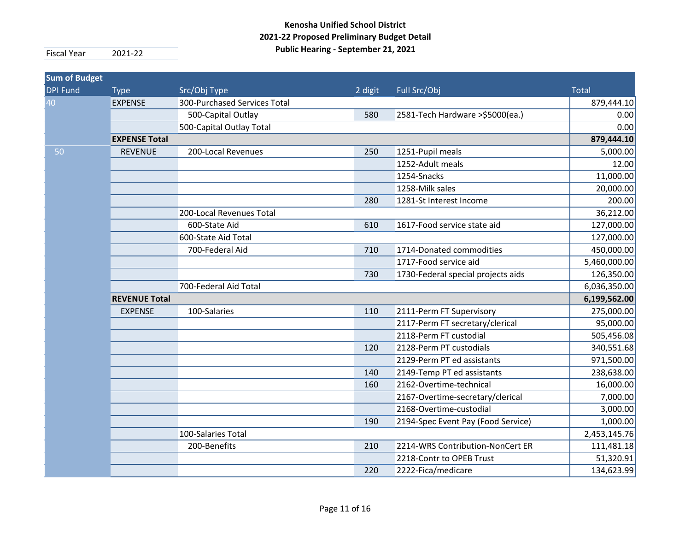| <b>Type</b>           | Src/Obj Type                 | 2 digit              | Full Src/Obj                       | <b>Total</b> |  |  |
|-----------------------|------------------------------|----------------------|------------------------------------|--------------|--|--|
| <b>EXPENSE</b>        | 300-Purchased Services Total |                      |                                    | 879,444.10   |  |  |
|                       | 500-Capital Outlay           | 580                  | 2581-Tech Hardware >\$5000(ea.)    | 0.00         |  |  |
|                       | 500-Capital Outlay Total     |                      |                                    | 0.00         |  |  |
| <b>EXPENSE Total</b>  |                              |                      |                                    | 879,444.10   |  |  |
| <b>REVENUE</b>        | 200-Local Revenues           | 250                  | 1251-Pupil meals                   | 5,000.00     |  |  |
|                       |                              |                      | 1252-Adult meals                   | 12.00        |  |  |
|                       |                              |                      | 1254-Snacks                        | 11,000.00    |  |  |
|                       |                              |                      | 1258-Milk sales                    | 20,000.00    |  |  |
|                       |                              | 280                  | 1281-St Interest Income            | 200.00       |  |  |
|                       | 200-Local Revenues Total     |                      |                                    | 36,212.00    |  |  |
|                       | 600-State Aid                | 610                  | 1617-Food service state aid        | 127,000.00   |  |  |
|                       | 600-State Aid Total          |                      |                                    | 127,000.00   |  |  |
|                       | 700-Federal Aid              | 710                  | 1714-Donated commodities           | 450,000.00   |  |  |
|                       |                              |                      | 1717-Food service aid              | 5,460,000.00 |  |  |
|                       |                              | 730                  | 1730-Federal special projects aids | 126,350.00   |  |  |
| 700-Federal Aid Total |                              |                      |                                    |              |  |  |
|                       |                              |                      |                                    | 6,199,562.00 |  |  |
| <b>EXPENSE</b>        | 100-Salaries                 | 110                  | 2111-Perm FT Supervisory           | 275,000.00   |  |  |
|                       |                              |                      | 2117-Perm FT secretary/clerical    | 95,000.00    |  |  |
|                       |                              |                      | 2118-Perm FT custodial             | 505,456.08   |  |  |
|                       |                              | 120                  | 2128-Perm PT custodials            | 340,551.68   |  |  |
|                       |                              |                      | 2129-Perm PT ed assistants         | 971,500.00   |  |  |
|                       |                              | 140                  | 2149-Temp PT ed assistants         | 238,638.00   |  |  |
|                       |                              | 160                  | 2162-Overtime-technical            | 16,000.00    |  |  |
|                       |                              |                      | 2167-Overtime-secretary/clerical   | 7,000.00     |  |  |
|                       |                              |                      | 2168-Overtime-custodial            | 3,000.00     |  |  |
|                       |                              | 190                  | 2194-Spec Event Pay (Food Service) | 1,000.00     |  |  |
|                       | 100-Salaries Total           |                      |                                    | 2,453,145.76 |  |  |
|                       | 200-Benefits                 | 210                  | 2214-WRS Contribution-NonCert ER   | 111,481.18   |  |  |
|                       |                              |                      | 2218-Contr to OPEB Trust           | 51,320.91    |  |  |
|                       |                              | 220                  | 2222-Fica/medicare                 | 134,623.99   |  |  |
|                       |                              | <b>REVENUE Total</b> |                                    |              |  |  |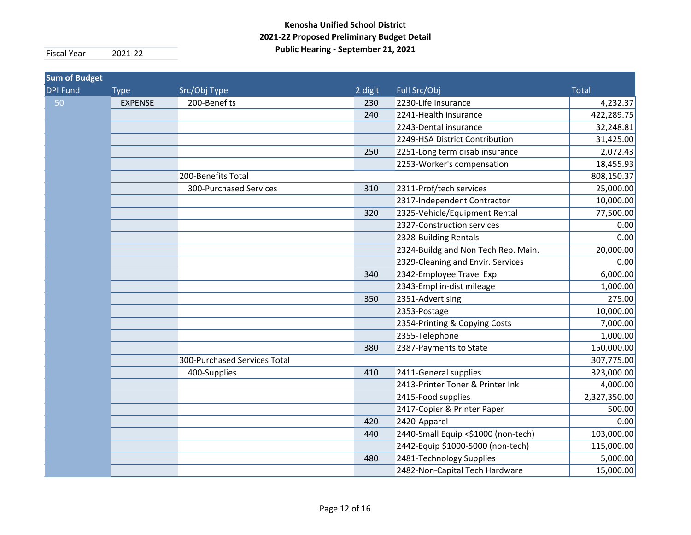| <b>Sum of Budget</b> |                |                              |         |                                     |              |
|----------------------|----------------|------------------------------|---------|-------------------------------------|--------------|
| <b>DPI Fund</b>      | <b>Type</b>    | Src/Obj Type                 | 2 digit | Full Src/Obj                        | <b>Total</b> |
| 50                   | <b>EXPENSE</b> | 200-Benefits                 | 230     | 2230-Life insurance                 | 4,232.37     |
|                      |                |                              | 240     | 2241-Health insurance               | 422,289.75   |
|                      |                |                              |         | 2243-Dental insurance               | 32,248.81    |
|                      |                |                              |         | 2249-HSA District Contribution      | 31,425.00    |
|                      |                |                              | 250     | 2251-Long term disab insurance      | 2,072.43     |
|                      |                |                              |         | 2253-Worker's compensation          | 18,455.93    |
|                      |                | 200-Benefits Total           |         |                                     | 808,150.37   |
|                      |                | 300-Purchased Services       | 310     | 2311-Prof/tech services             | 25,000.00    |
|                      |                |                              |         | 2317-Independent Contractor         | 10,000.00    |
|                      |                |                              | 320     | 2325-Vehicle/Equipment Rental       | 77,500.00    |
|                      |                |                              |         | 2327-Construction services          | 0.00         |
|                      |                |                              |         | 2328-Building Rentals               | 0.00         |
|                      |                |                              |         | 2324-Buildg and Non Tech Rep. Main. | 20,000.00    |
|                      |                |                              |         | 2329-Cleaning and Envir. Services   | 0.00         |
|                      |                |                              | 340     | 2342-Employee Travel Exp            | 6,000.00     |
|                      |                |                              |         | 2343-Empl in-dist mileage           | 1,000.00     |
|                      |                |                              | 350     | 2351-Advertising                    | 275.00       |
|                      |                |                              |         | 2353-Postage                        | 10,000.00    |
|                      |                |                              |         | 2354-Printing & Copying Costs       | 7,000.00     |
|                      |                |                              |         | 2355-Telephone                      | 1,000.00     |
|                      |                |                              | 380     | 2387-Payments to State              | 150,000.00   |
|                      |                | 300-Purchased Services Total |         |                                     | 307,775.00   |
|                      |                | 400-Supplies                 | 410     | 2411-General supplies               | 323,000.00   |
|                      |                |                              |         | 2413-Printer Toner & Printer Ink    | 4,000.00     |
|                      |                |                              |         | 2415-Food supplies                  | 2,327,350.00 |
|                      |                |                              |         | 2417-Copier & Printer Paper         | 500.00       |
|                      |                |                              | 420     | 2420-Apparel                        | 0.00         |
|                      |                |                              | 440     | 2440-Small Equip <\$1000 (non-tech) | 103,000.00   |
|                      |                |                              |         | 2442-Equip \$1000-5000 (non-tech)   | 115,000.00   |
|                      |                |                              | 480     | 2481-Technology Supplies            | 5,000.00     |
|                      |                |                              |         | 2482-Non-Capital Tech Hardware      | 15,000.00    |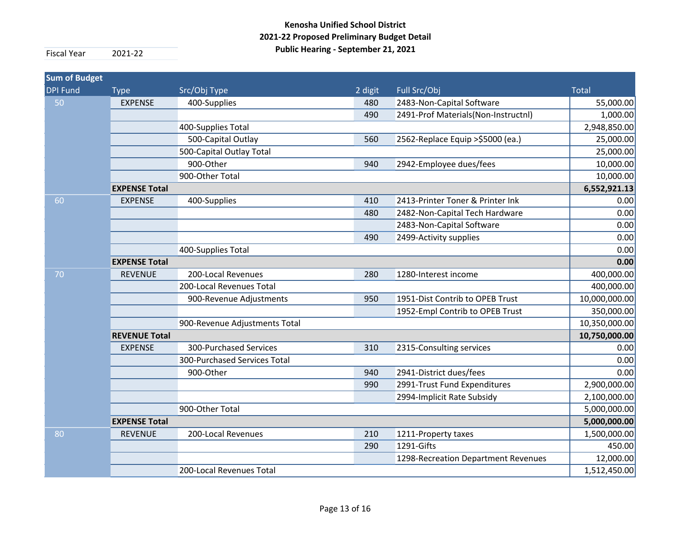| <b>Sum of Budget</b> |                      |                               |         |                                     |               |
|----------------------|----------------------|-------------------------------|---------|-------------------------------------|---------------|
| <b>DPI Fund</b>      | <b>Type</b>          | Src/Obj Type                  | 2 digit | Full Src/Obj                        | <b>Total</b>  |
| 50                   | <b>EXPENSE</b>       | 400-Supplies                  | 480     | 2483-Non-Capital Software           | 55,000.00     |
|                      |                      |                               | 490     | 2491-Prof Materials(Non-Instructnl) | 1,000.00      |
|                      |                      | 400-Supplies Total            |         |                                     | 2,948,850.00  |
|                      |                      | 500-Capital Outlay            | 560     | 2562-Replace Equip > \$5000 (ea.)   | 25,000.00     |
|                      |                      | 500-Capital Outlay Total      |         |                                     | 25,000.00     |
|                      |                      | 900-Other                     | 940     | 2942-Employee dues/fees             | 10,000.00     |
|                      |                      | 900-Other Total               |         |                                     | 10,000.00     |
|                      | <b>EXPENSE Total</b> |                               |         |                                     | 6,552,921.13  |
| 60                   | <b>EXPENSE</b>       | 400-Supplies                  | 410     | 2413-Printer Toner & Printer Ink    | 0.00          |
|                      |                      |                               | 480     | 2482-Non-Capital Tech Hardware      | 0.00          |
|                      |                      |                               |         | 2483-Non-Capital Software           | 0.00          |
|                      |                      |                               | 490     | 2499-Activity supplies              | 0.00          |
|                      |                      | 400-Supplies Total            |         |                                     | 0.00          |
|                      | <b>EXPENSE Total</b> |                               |         |                                     | 0.00          |
| 70                   | <b>REVENUE</b>       | 200-Local Revenues            | 280     | 1280-Interest income                | 400,000.00    |
|                      |                      | 200-Local Revenues Total      |         |                                     | 400,000.00    |
|                      |                      | 900-Revenue Adjustments       | 950     | 1951-Dist Contrib to OPEB Trust     | 10,000,000.00 |
|                      |                      |                               |         | 1952-Empl Contrib to OPEB Trust     | 350,000.00    |
|                      |                      | 900-Revenue Adjustments Total |         |                                     | 10,350,000.00 |
|                      | <b>REVENUE Total</b> |                               |         |                                     | 10,750,000.00 |
|                      | <b>EXPENSE</b>       | 300-Purchased Services        | 310     | 2315-Consulting services            | 0.00          |
|                      |                      | 300-Purchased Services Total  |         |                                     | 0.00          |
|                      |                      | 900-Other                     | 940     | 2941-District dues/fees             | 0.00          |
|                      |                      |                               | 990     | 2991-Trust Fund Expenditures        | 2,900,000.00  |
|                      |                      |                               |         | 2994-Implicit Rate Subsidy          | 2,100,000.00  |
|                      |                      | 900-Other Total               |         |                                     | 5,000,000.00  |
|                      | <b>EXPENSE Total</b> |                               |         |                                     | 5,000,000.00  |
| 80                   | <b>REVENUE</b>       | 200-Local Revenues            | 210     | 1211-Property taxes                 | 1,500,000.00  |
|                      |                      |                               | 290     | 1291-Gifts                          | 450.00        |
|                      |                      |                               |         | 1298-Recreation Department Revenues | 12,000.00     |
|                      |                      | 200-Local Revenues Total      |         |                                     | 1,512,450.00  |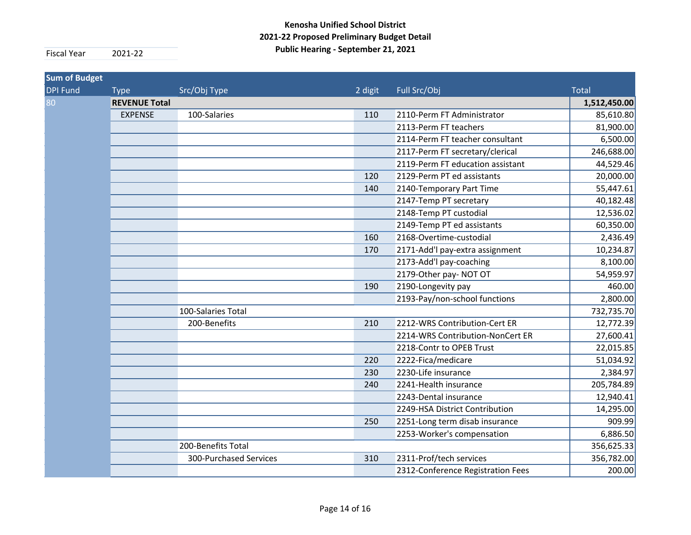| <b>Sum of Budget</b> |                |                        |         |                                   |              |  |
|----------------------|----------------|------------------------|---------|-----------------------------------|--------------|--|
| <b>DPI Fund</b>      | <b>Type</b>    | Src/Obj Type           | 2 digit | Full Src/Obj                      | <b>Total</b> |  |
| 80                   |                | <b>REVENUE Total</b>   |         |                                   |              |  |
|                      | <b>EXPENSE</b> | 100-Salaries           | 110     | 2110-Perm FT Administrator        | 85,610.80    |  |
|                      |                |                        |         | 2113-Perm FT teachers             | 81,900.00    |  |
|                      |                |                        |         | 2114-Perm FT teacher consultant   | 6,500.00     |  |
|                      |                |                        |         | 2117-Perm FT secretary/clerical   | 246,688.00   |  |
|                      |                |                        |         | 2119-Perm FT education assistant  | 44,529.46    |  |
|                      |                |                        | 120     | 2129-Perm PT ed assistants        | 20,000.00    |  |
|                      |                |                        | 140     | 2140-Temporary Part Time          | 55,447.61    |  |
|                      |                |                        |         | 2147-Temp PT secretary            | 40,182.48    |  |
|                      |                |                        |         | 2148-Temp PT custodial            | 12,536.02    |  |
|                      |                |                        |         | 2149-Temp PT ed assistants        | 60,350.00    |  |
|                      |                |                        | 160     | 2168-Overtime-custodial           | 2,436.49     |  |
|                      |                |                        | 170     | 2171-Add'l pay-extra assignment   | 10,234.87    |  |
|                      |                |                        |         | 2173-Add'l pay-coaching           | 8,100.00     |  |
|                      |                |                        |         | 2179-Other pay-NOT OT             | 54,959.97    |  |
|                      |                |                        | 190     | 2190-Longevity pay                | 460.00       |  |
|                      |                |                        |         | 2193-Pay/non-school functions     | 2,800.00     |  |
|                      |                | 100-Salaries Total     |         |                                   | 732,735.70   |  |
|                      |                | 200-Benefits           | 210     | 2212-WRS Contribution-Cert ER     | 12,772.39    |  |
|                      |                |                        |         | 2214-WRS Contribution-NonCert ER  | 27,600.41    |  |
|                      |                |                        |         | 2218-Contr to OPEB Trust          | 22,015.85    |  |
|                      |                |                        | 220     | 2222-Fica/medicare                | 51,034.92    |  |
|                      |                |                        | 230     | 2230-Life insurance               | 2,384.97     |  |
|                      |                |                        | 240     | 2241-Health insurance             | 205,784.89   |  |
|                      |                |                        |         | 2243-Dental insurance             | 12,940.41    |  |
|                      |                |                        |         | 2249-HSA District Contribution    | 14,295.00    |  |
|                      |                |                        | 250     | 2251-Long term disab insurance    | 909.99       |  |
|                      |                |                        |         | 2253-Worker's compensation        | 6,886.50     |  |
|                      |                | 200-Benefits Total     |         |                                   | 356,625.33   |  |
|                      |                | 300-Purchased Services | 310     | 2311-Prof/tech services           | 356,782.00   |  |
|                      |                |                        |         | 2312-Conference Registration Fees | 200.00       |  |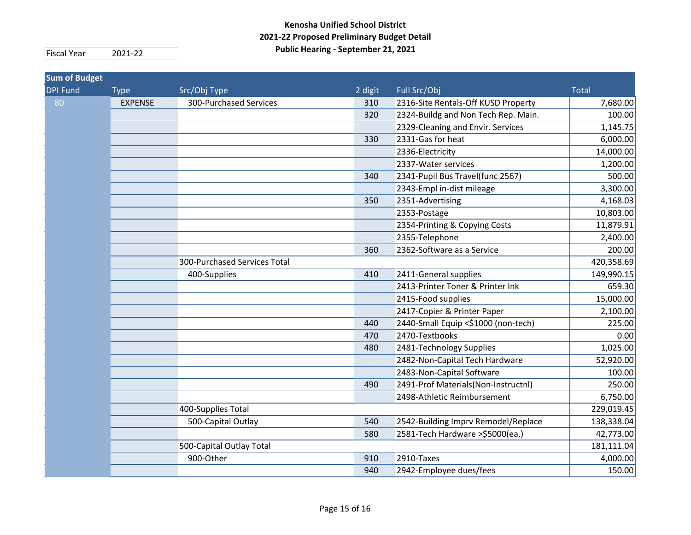| <b>Sum of Budget</b> |                |                              |         |                                     |              |
|----------------------|----------------|------------------------------|---------|-------------------------------------|--------------|
| <b>DPI Fund</b>      | <b>Type</b>    | Src/Obj Type                 | 2 digit | Full Src/Obj                        | <b>Total</b> |
| 80                   | <b>EXPENSE</b> | 300-Purchased Services       | 310     | 2316-Site Rentals-Off KUSD Property | 7,680.00     |
|                      |                |                              | 320     | 2324-Buildg and Non Tech Rep. Main. | 100.00       |
|                      |                |                              |         | 2329-Cleaning and Envir. Services   | 1,145.75     |
|                      |                |                              | 330     | 2331-Gas for heat                   | 6,000.00     |
|                      |                |                              |         | 2336-Electricity                    | 14,000.00    |
|                      |                |                              |         | 2337-Water services                 | 1,200.00     |
|                      |                |                              | 340     | 2341-Pupil Bus Travel(func 2567)    | 500.00       |
|                      |                |                              |         | 2343-Empl in-dist mileage           | 3,300.00     |
|                      |                |                              | 350     | 2351-Advertising                    | 4,168.03     |
|                      |                |                              |         | 2353-Postage                        | 10,803.00    |
|                      |                |                              |         | 2354-Printing & Copying Costs       | 11,879.91    |
|                      |                |                              |         | 2355-Telephone                      | 2,400.00     |
|                      |                |                              | 360     | 2362-Software as a Service          | 200.00       |
|                      |                | 300-Purchased Services Total |         |                                     | 420,358.69   |
|                      |                | 400-Supplies                 | 410     | 2411-General supplies               | 149,990.15   |
|                      |                |                              |         | 2413-Printer Toner & Printer Ink    | 659.30       |
|                      |                |                              |         | 2415-Food supplies                  | 15,000.00    |
|                      |                |                              |         | 2417-Copier & Printer Paper         | 2,100.00     |
|                      |                |                              | 440     | 2440-Small Equip <\$1000 (non-tech) | 225.00       |
|                      |                |                              | 470     | 2470-Textbooks                      | 0.00         |
|                      |                |                              | 480     | 2481-Technology Supplies            | 1,025.00     |
|                      |                |                              |         | 2482-Non-Capital Tech Hardware      | 52,920.00    |
|                      |                |                              |         | 2483-Non-Capital Software           | 100.00       |
|                      |                |                              | 490     | 2491-Prof Materials(Non-Instructnl) | 250.00       |
|                      |                |                              |         | 2498-Athletic Reimbursement         | 6,750.00     |
|                      |                | 400-Supplies Total           |         |                                     | 229,019.45   |
|                      |                | 500-Capital Outlay           | 540     | 2542-Building Imprv Remodel/Replace | 138,338.04   |
|                      |                |                              | 580     | 2581-Tech Hardware > \$5000 (ea.)   | 42,773.00    |
|                      |                | 500-Capital Outlay Total     |         |                                     | 181,111.04   |
|                      |                | 900-Other                    | 910     | 2910-Taxes                          | 4,000.00     |
|                      |                |                              | 940     | 2942-Employee dues/fees             | 150.00       |